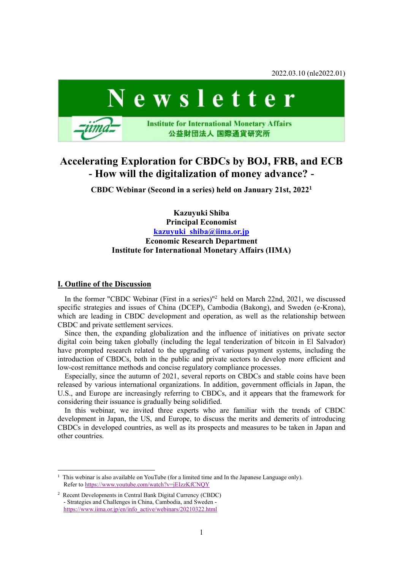2022.03.10 (nle2022.01)



# **Accelerating Exploration for CBDCs by BOJ, FRB, and ECB - How will the digitalization of money advance? -**

**CBDC Webinar (Second in a series) held on January 21st, 2022<sup>1</sup>**

**Kazuyuki Shiba Principal Economist [kazuyuki\\_shiba@iima.or.jp](mailto:kazuyuki_shiba@iima.or.jp) Economic Research Department Institute for International Monetary Affairs (IIMA)**

## **I. Outline of the Discussion**

In the former "CBDC Webinar (First in a series)"<sup>2</sup> held on March 22nd, 2021, we discussed specific strategies and issues of China (DCEP), Cambodia (Bakong), and Sweden (e-Krona), which are leading in CBDC development and operation, as well as the relationship between CBDC and private settlement services.

Since then, the expanding globalization and the influence of initiatives on private sector digital coin being taken globally (including the legal tenderization of bitcoin in El Salvador) have prompted research related to the upgrading of various payment systems, including the introduction of CBDCs, both in the public and private sectors to develop more efficient and low-cost remittance methods and concise regulatory compliance processes.

Especially, since the autumn of 2021, several reports on CBDCs and stable coins have been released by various international organizations. In addition, government officials in Japan, the U.S., and Europe are increasingly referring to CBDCs, and it appears that the framework for considering their issuance is gradually being solidified.

In this webinar, we invited three experts who are familiar with the trends of CBDC development in Japan, the US, and Europe, to discuss the merits and demerits of introducing CBDCs in developed countries, as well as its prospects and measures to be taken in Japan and other countries.

<sup>1</sup> This webinar is also available on YouTube (for a limited time and In the Japanese Language only). Refer to <https://www.youtube.com/watch?v=jEIzzKfCNQY>

<sup>2</sup> Recent Developments in Central Bank Digital Currency (CBDC) - Strategies and Challenges in China, Cambodia, and Sweden [https://www.iima.or.jp/en/info\\_active/webinars/20210322.html](https://www.iima.or.jp/en/info_active/webinars/20210322.html)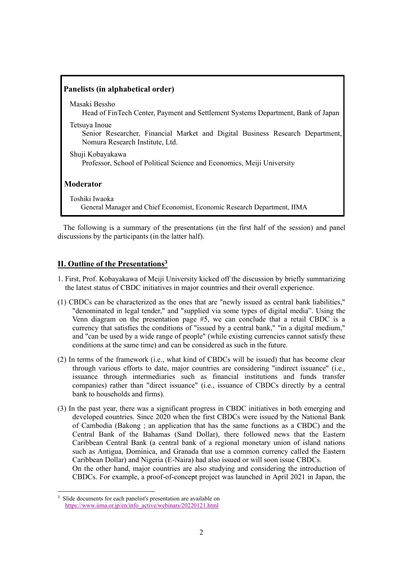| Panelists (in alphabetical order)                                                                                                 |
|-----------------------------------------------------------------------------------------------------------------------------------|
| Masaki Bessho<br>Head of FinTech Center, Payment and Settlement Systems Department, Bank of Japan                                 |
| Tetsuya Inoue<br>Senior Researcher, Financial Market and Digital Business Research Department,<br>Nomura Research Institute, Ltd. |
| Shuji Kobayakawa<br>Professor, School of Political Science and Economics, Meiji University                                        |
| <b>Moderator</b>                                                                                                                  |
| Toshiki Iwaoka<br>General Manager and Chief Economist, Economic Research Department, IIMA                                         |

The following is a summary of the presentations (in the first half of the session) and panel discussions by the participants (in the latter half).

## **II. Outline of the Presentations<sup>3</sup>**

- 1. First, Prof. Kobayakawa of Meiji University kicked off the discussion by briefly summarizing the latest status of CBDC initiatives in major countries and their overall experience.
- (1) CBDCs can be characterized as the ones that are "newly issued as central bank liabilities," "denominated in legal tender," and "supplied via some types of digital media". Using the Venn diagram on the presentation page #5, we can conclude that a retail CBDC is a currency that satisfies the conditions of "issued by a central bank," "in a digital medium," and "can be used by a wide range of people" (while existing currencies cannot satisfy these conditions at the same time) and can be considered as such in the future.
- (2) In terms of the framework (i.e., what kind of CBDCs will be issued) that has become clear through various efforts to date, major countries are considering "indirect issuance" (i.e., issuance through intermediaries such as financial institutions and funds transfer companies) rather than "direct issuance" (i.e., issuance of CBDCs directly by a central bank to households and firms).
- (3) In the past year, there was a significant progress in CBDC initiatives in both emerging and developed countries. Since 2020 when the first CBDCs were issued by the National Bank of Cambodia (Bakong ; an application that has the same functions as a CBDC) and the Central Bank of the Bahamas (Sand Dollar), there followed news that the Eastern Caribbean Central Bank (a central bank of a regional monetary union of island nations such as Antigua, Dominica, and Granada that use a common currency called the Eastern Caribbean Dollar) and Nigeria (E-Naira) had also issued or will soon issue CBDCs.

On the other hand, major countries are also studying and considering the introduction of CBDCs. For example, a proof-of-concept project was launched in April 2021 in Japan, the

Slide documents for each panelist's presentation are available on [https://www.iima.or.jp/en/info\\_active/webinars/20220121.html](https://www.iima.or.jp/en/info_active/webinars/20220121.html)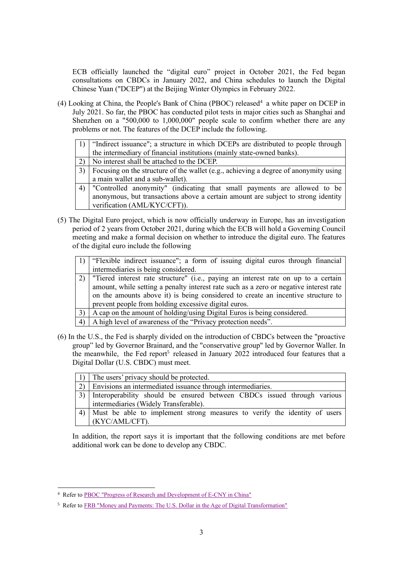ECB officially launched the "digital euro" project in October 2021, the Fed began consultations on CBDCs in January 2022, and China schedules to launch the Digital Chinese Yuan ("DCEP") at the Beijing Winter Olympics in February 2022.

(4) Looking at China, the People's Bank of China (PBOC) released<sup>4</sup> a white paper on DCEP in July 2021. So far, the PBOC has conducted pilot tests in major cities such as Shanghai and Shenzhen on a "500,000 to 1,000,000" people scale to confirm whether there are any problems or not. The features of the DCEP include the following.

| 1) "Indirect issuance"; a structure in which DCEPs are distributed to people through |
|--------------------------------------------------------------------------------------|
| the intermediary of financial institutions (mainly state-owned banks).               |
| - - - - -                                                                            |

- 2) No interest shall be attached to the DCEP.
- 3) Focusing on the structure of the wallet (e.g., achieving a degree of anonymity using a main wallet and a sub-wallet).
- 4) "Controlled anonymity" (indicating that small payments are allowed to be anonymous, but transactions above a certain amount are subject to strong identity verification (AML/KYC/CFT)).
- (5) The Digital Euro project, which is now officially underway in Europe, has an investigation period of 2 years from October 2021, during which the ECB will hold a Governing Council meeting and make a formal decision on whether to introduce the digital euro. The features of the digital euro include the following
	- 1) "Flexible indirect issuance"; a form of issuing digital euros through financial intermediaries is being considered.
	- 2) "Tiered interest rate structure" (i.e., paying an interest rate on up to a certain amount, while setting a penalty interest rate such as a zero or negative interest rate on the amounts above it) is being considered to create an incentive structure to prevent people from holding excessive digital euros.
	- $3)$  A cap on the amount of holding/using Digital Euros is being considered.
	- 4) A high level of awareness of the "Privacy protection needs".
- (6) In the U.S., the Fed is sharply divided on the introduction of CBDCs between the "proactive group" led by Governor Brainard, and the "conservative group" led by Governor Waller. In the meanwhile, the Fed report<sup>5</sup> released in January 2022 introduced four features that a Digital Dollar (U.S. CBDC) must meet.

| The users' privacy should be protected.                                      |
|------------------------------------------------------------------------------|
| $\vert$ 2) Envisions an intermediated issuance through intermediaries.       |
| 3) Interoperability should be ensured between CBDCs issued through various   |
| intermediaries (Widely Transferable).                                        |
| 4) Must be able to implement strong measures to verify the identity of users |
| (KYC/AML/CFT).                                                               |

In addition, the report says it is important that the following conditions are met before additional work can be done to develop any CBDC.

<sup>4</sup> Refer to [PBOC "Progress of Research and Development of E-CNY in China"](http://www.pbc.gov.cn/en/3688110/3688172/4157443/4293696/2021071614584691871.pdf)

<sup>5</sup> Refer to [FRB "Money and Payments: The U.S. Dollar in the Age of Digital Transformation"](https://www.federalreserve.gov/publications/files/money-and-payments-20220120.pdf)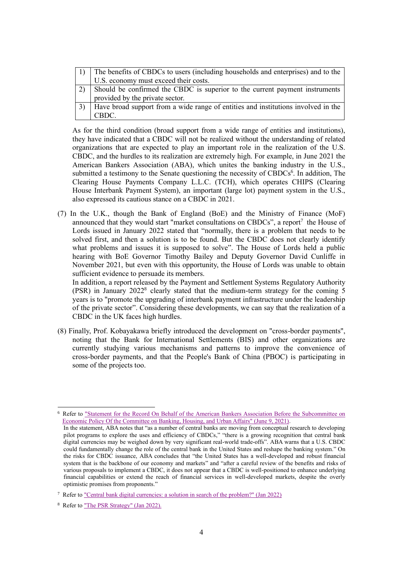| The benefits of CBDCs to users (including households and enterprises) and to the  |  |
|-----------------------------------------------------------------------------------|--|
| U.S. economy must exceed their costs.                                             |  |
| Should be confirmed the CBDC is superior to the current payment instruments       |  |
| provided by the private sector.                                                   |  |
| Have broad support from a wide range of entities and institutions involved in the |  |
| CBDC.                                                                             |  |

As for the third condition (broad support from a wide range of entities and institutions), they have indicated that a CBDC will not be realized without the understanding of related organizations that are expected to play an important role in the realization of the U.S. CBDC, and the hurdles to its realization are extremely high. For example, in June 2021 the American Bankers Association (ABA), which unites the banking industry in the U.S., submitted a testimony to the Senate questioning the necessity of CBDCs<sup>6</sup>. In addition, The Clearing House Payments Company L.L.C. (TCH), which operates CHIPS (Clearing House Interbank Payment System), an important (large lot) payment system in the U.S., also expressed its cautious stance on a CBDC in 2021.

(7) In the U.K., though the Bank of England (BoE) and the Ministry of Finance (MoF) announced that they would start "market consultations on CBDCs", a report<sup>7</sup> the House of Lords issued in January 2022 stated that "normally, there is a problem that needs to be solved first, and then a solution is to be found. But the CBDC does not clearly identify what problems and issues it is supposed to solve". The House of Lords held a public hearing with BoE Governor Timothy Bailey and Deputy Governor David Cunliffe in November 2021, but even with this opportunity, the House of Lords was unable to obtain sufficient evidence to persuade its members.

In addition, a report released by the Payment and Settlement Systems Regulatory Authority (PSR) in January 2022<sup>8</sup> clearly stated that the medium-term strategy for the coming 5 years is to "promote the upgrading of interbank payment infrastructure under the leadership of the private sector". Considering these developments, we can say that the realization of a CBDC in the UK faces high hurdles.

(8) Finally, Prof. Kobayakawa briefly introduced the development on "cross-border payments", noting that the Bank for International Settlements (BIS) and other organizations are currently studying various mechanisms and patterns to improve the convenience of cross-border payments, and that the People's Bank of China (PBOC) is participating in some of the projects too.

<sup>6</sup> Refer to ["Statement for the Record On Behalf of the American Bankers Association Before the Subcommittee on](https://www.aba.com/advocacy/policy-analysis/aba-statement-for-the-record-for-the-hearing-titled-building-a-stronger-financial-system)  [Economic Policy Of the Committee on Banking, Housing, and Urban Affairs" \(June 9, 2021\).](https://www.aba.com/advocacy/policy-analysis/aba-statement-for-the-record-for-the-hearing-titled-building-a-stronger-financial-system)

In the statement, ABA notes that "as a number of central banks are moving from conceptual research to developing pilot programs to explore the uses and efficiency of CBDCs," "there is a growing recognition that central bank digital currencies may be weighed down by very significant real-world trade-offs". ABA warns that a U.S. CBDC could fundamentally change the role of the central bank in the United States and reshape the banking system." On the risks for CBDC issuance, ABA concludes that "the United States has a well-developed and robust financial system that is the backbone of our economy and markets" and "after a careful review of the benefits and risks of various proposals to implement a CBDC, it does not appear that a CBDC is well-positioned to enhance underlying financial capabilities or extend the reach of financial services in well-developed markets, despite the overly optimistic promises from proponents."

<sup>7</sup> Refer to ["Central bank digital currencies: a solution in search of the problem?" \(Jan 2022\)](https://publications.parliament.uk/pa/ld5802/ldselect/ldeconaf/131/131.pdf)

<sup>8</sup> Refer to ["The PSR Strategy" \(Jan 2022\).](https://www.psr.org.uk/publications/general/the-psr-strategy/)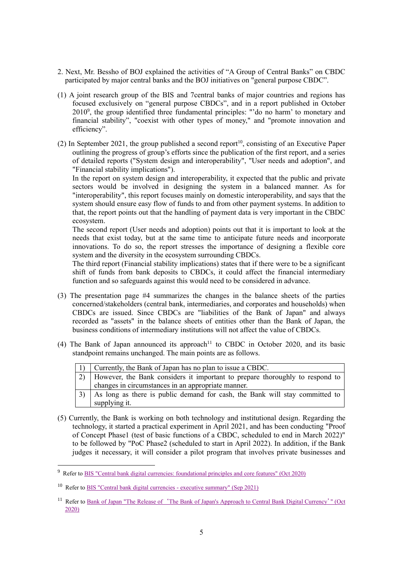- 2. Next, Mr. Bessho of BOJ explained the activities of "A Group of Central Banks" on CBDC participated by major central banks and the BOJ initiatives on "general purpose CBDC".
- (1) A joint research group of the BIS and 7central banks of major countries and regions has focused exclusively on "general purpose CBDCs", and in a report published in October 2010<sup>9</sup> , the group identified three fundamental principles: "'do no harm' to monetary and financial stability", "coexist with other types of money," and "promote innovation and efficiency".
- (2) In September 2021, the group published a second report<sup>10</sup>, consisting of an Executive Paper outlining the progress of group's efforts since the publication of the first report, and a series of detailed reports ("System design and interoperability", "User needs and adoption", and "Financial stability implications").

In the report on system design and interoperability, it expected that the public and private sectors would be involved in designing the system in a balanced manner. As for "interoperability", this report focuses mainly on domestic interoperability, and says that the system should ensure easy flow of funds to and from other payment systems. In addition to that, the report points out that the handling of payment data is very important in the CBDC ecosystem.

The second report (User needs and adoption) points out that it is important to look at the needs that exist today, but at the same time to anticipate future needs and incorporate innovations. To do so, the report stresses the importance of designing a flexible core system and the diversity in the ecosystem surrounding CBDCs.

The third report (Financial stability implications) states that if there were to be a significant shift of funds from bank deposits to CBDCs, it could affect the financial intermediary function and so safeguards against this would need to be considered in advance.

- (3) The presentation page #4 summarizes the changes in the balance sheets of the parties concerned/stakeholders (central bank, intermediaries, and corporates and households) when CBDCs are issued. Since CBDCs are "liabilities of the Bank of Japan" and always recorded as "assets" in the balance sheets of entities other than the Bank of Japan, the business conditions of intermediary institutions will not affect the value of CBDCs.
- (4) The Bank of Japan announced its approach<sup>11</sup> to CBDC in October 2020, and its basic standpoint remains unchanged. The main points are as follows.

| Currently, the Bank of Japan has no plan to issue a CBDC.                                     |
|-----------------------------------------------------------------------------------------------|
| 2) However, the Bank considers it important to prepare thoroughly to respond to               |
| changes in circumstances in an appropriate manner.                                            |
| $\left(3\right)$   As long as there is public demand for cash the Bank will stay committed to |

- As long as there is public demand for cash, the Bank will stay committed to supplying it.
- (5) Currently, the Bank is working on both technology and institutional design. Regarding the technology, it started a practical experiment in April 2021, and has been conducting "Proof of Concept Phase1 (test of basic functions of a CBDC, scheduled to end in March 2022)" to be followed by "PoC Phase2 (scheduled to start in April 2022). In addition, if the Bank judges it necessary, it will consider a pilot program that involves private businesses and

<sup>9</sup> Refer to [BIS "Central bank digital currencies: foundational principles and core features" \(Oct 2020\)](https://www.bis.org/publ/othp33.pdf)

<sup>10</sup> Refer to [BIS "Central bank digital currencies -](https://www.bis.org/publ/othp42.htm) executive summary" (Sep 2021)

<sup>&</sup>lt;sup>11</sup> Refer to Bank of Japan "The Release of '[The Bank of Japan's Approach to Central Bank Digital Currency](https://www.boj.or.jp/en/announcements/release_2020/rel201009e.htm/)'" (Oct [2020\)](https://www.boj.or.jp/en/announcements/release_2020/rel201009e.htm/)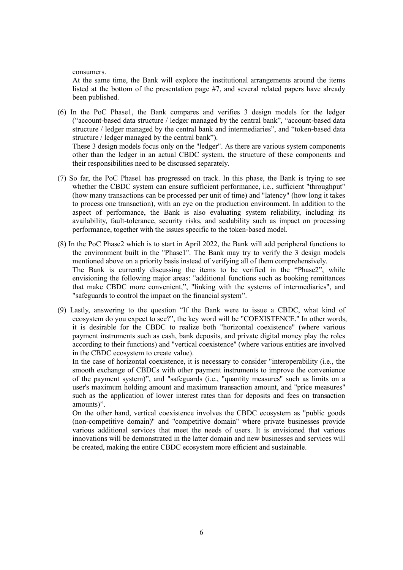consumers.

At the same time, the Bank will explore the institutional arrangements around the items listed at the bottom of the presentation page #7, and several related papers have already been published.

(6) In the PoC Phase1, the Bank compares and verifies 3 design models for the ledger ("account-based data structure / ledger managed by the central bank", "account-based data structure / ledger managed by the central bank and intermediaries", and "token-based data structure / ledger managed by the central bank"). These 3 design models focus only on the "ledger". As there are various system components

other than the ledger in an actual CBDC system, the structure of these components and their responsibilities need to be discussed separately.

- (7) So far, the PoC Phase1 has progressed on track. In this phase, the Bank is trying to see whether the CBDC system can ensure sufficient performance, i.e., sufficient "throughput" (how many transactions can be processed per unit of time) and "latency" (how long it takes to process one transaction), with an eye on the production environment. In addition to the aspect of performance, the Bank is also evaluating system reliability, including its availability, fault-tolerance, security risks, and scalability such as impact on processing performance, together with the issues specific to the token-based model.
- (8) In the PoC Phase2 which is to start in April 2022, the Bank will add peripheral functions to the environment built in the "Phase1". The Bank may try to verify the 3 design models mentioned above on a priority basis instead of verifying all of them comprehensively. The Bank is currently discussing the items to be verified in the "Phase2", while envisioning the following major areas: "additional functions such as booking remittances that make CBDC more convenient,", "linking with the systems of intermediaries", and "safeguards to control the impact on the financial system".
- (9) Lastly, answering to the question "If the Bank were to issue a CBDC, what kind of ecosystem do you expect to see?", the key word will be "COEXISTENCE." In other words, it is desirable for the CBDC to realize both "horizontal coexistence" (where various payment instruments such as cash, bank deposits, and private digital money play the roles according to their functions) and "vertical coexistence" (where various entities are involved in the CBDC ecosystem to create value).

In the case of horizontal coexistence, it is necessary to consider "interoperability (i.e., the smooth exchange of CBDCs with other payment instruments to improve the convenience of the payment system)", and "safeguards (i.e., "quantity measures" such as limits on a user's maximum holding amount and maximum transaction amount, and "price measures" such as the application of lower interest rates than for deposits and fees on transaction amounts)".

On the other hand, vertical coexistence involves the CBDC ecosystem as "public goods (non-competitive domain)" and "competitive domain" where private businesses provide various additional services that meet the needs of users. It is envisioned that various innovations will be demonstrated in the latter domain and new businesses and services will be created, making the entire CBDC ecosystem more efficient and sustainable.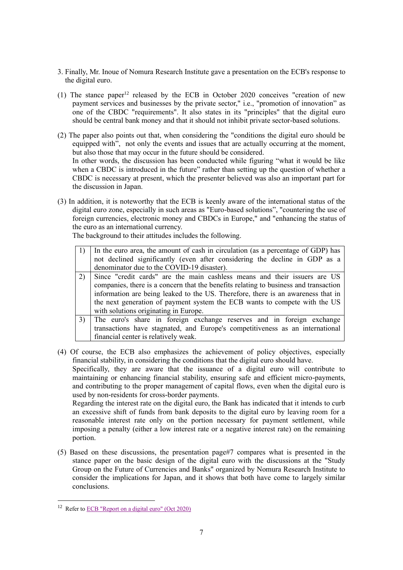- 3. Finally, Mr. Inoue of Nomura Research Institute gave a presentation on the ECB's response to the digital euro.
- (1) The stance paper<sup>12</sup> released by the ECB in October 2020 conceives "creation of new payment services and businesses by the private sector," i.e., "promotion of innovation" as one of the CBDC "requirements". It also states in its "principles" that the digital euro should be central bank money and that it should not inhibit private sector-based solutions.
- (2) The paper also points out that, when considering the "conditions the digital euro should be equipped with", not only the events and issues that are actually occurring at the moment, but also those that may occur in the future should be considered. In other words, the discussion has been conducted while figuring "what it would be like when a CBDC is introduced in the future" rather than setting up the question of whether a CBDC is necessary at present, which the presenter believed was also an important part for the discussion in Japan.
- (3) In addition, it is noteworthy that the ECB is keenly aware of the international status of the digital euro zone, especially in such areas as "Euro-based solutions", "countering the use of foreign currencies, electronic money and CBDCs in Europe," and "enhancing the status of the euro as an international currency.

The background to their attitudes includes the following.

| 1) In the euro area, the amount of cash in circulation (as a percentage of GDP) has |
|-------------------------------------------------------------------------------------|
| not declined significantly (even after considering the decline in GDP as a          |
| denominator due to the COVID-19 disaster).                                          |
| $20 - 10$ $11 - 11$ $11 - 11$ $11 - 11$ $11 - 11$                                   |

- 2) Since "credit cards" are the main cashless means and their issuers are US companies, there is a concern that the benefits relating to business and transaction information are being leaked to the US. Therefore, there is an awareness that in the next generation of payment system the ECB wants to compete with the US with solutions originating in Europe.
- 3) The euro's share in foreign exchange reserves and in foreign exchange transactions have stagnated, and Europe's competitiveness as an international financial center is relatively weak.

(4) Of course, the ECB also emphasizes the achievement of policy objectives, especially financial stability, in considering the conditions that the digital euro should have. Specifically, they are aware that the issuance of a digital euro will contribute to maintaining or enhancing financial stability, ensuring safe and efficient micro-payments, and contributing to the proper management of capital flows, even when the digital euro is used by non-residents for cross-border payments.

Regarding the interest rate on the digital euro, the Bank has indicated that it intends to curb an excessive shift of funds from bank deposits to the digital euro by leaving room for a reasonable interest rate only on the portion necessary for payment settlement, while imposing a penalty (either a low interest rate or a negative interest rate) on the remaining portion.

(5) Based on these discussions, the presentation page#7 compares what is presented in the stance paper on the basic design of the digital euro with the discussions at the "Study Group on the Future of Currencies and Banks" organized by Nomura Research Institute to consider the implications for Japan, and it shows that both have come to largely similar conclusions.

<sup>12</sup> Refer to [ECB "Report on a digital euro" \(Oct 2020\)](https://www.ecb.europa.eu/euro/html/digitaleuro-report.en.html)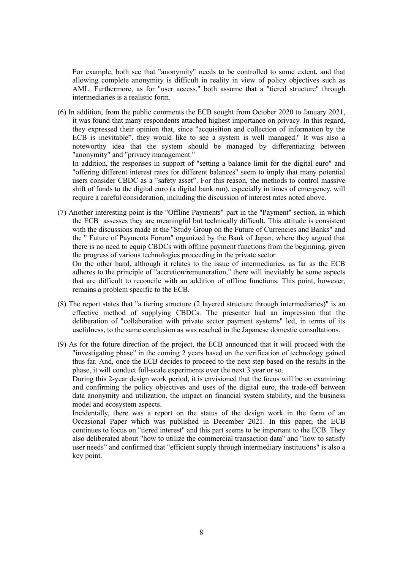For example, both see that "anonymity" needs to be controlled to some extent, and that allowing complete anonymity is difficult in reality in view of policy objectives such as AML. Furthermore, as for "user access," both assume that a "tiered structure" through intermediaries is a realistic form.

(6) In addition, from the public comments the ECB sought from October 2020 to January 2021, it was found that many respondents attached highest importance on privacy. In this regard, they expressed their opinion that, since "acquisition and collection of information by the ECB is inevitable", they would like to see a system is well managed." It was also a noteworthy idea that the system should be managed by differentiating between "anonymity" and "privacy management."

In addition, the responses in support of "setting a balance limit for the digital euro" and "offering different interest rates for different balances" seem to imply that many potential users consider CBDC as a "safety asset". For this reason, the methods to control massive shift of funds to the digital euro (a digital bank run), especially in times of emergency, will require a careful consideration, including the discussion of interest rates noted above.

(7) Another interesting point is the "Offline Payments" part in the "Payment" section, in which the ECB assesses they are meaningful but technically difficult. This attitude is consistent with the discussions made at the "Study Group on the Future of Currencies and Banks" and the " Future of Payments Forum" organized by the Bank of Japan, where they argued that there is no need to equip CBDCs with offline payment functions from the beginning, given the progress of various technologies proceeding in the private sector.

On the other hand, although it relates to the issue of intermediaries, as far as the ECB adheres to the principle of "accretion/remuneration," there will inevitably be some aspects that are difficult to reconcile with an addition of offline functions. This point, however, remains a problem specific to the ECB.

- (8) The report states that "a tiering structure (2 layered structure through intermediaries)" is an effective method of supplying CBDCs. The presenter had an impression that the deliberation of "collaboration with private sector payment systems" led, in terms of its usefulness, to the same conclusion as was reached in the Japanese domestic consultations.
- (9) As for the future direction of the project, the ECB announced that it will proceed with the "investigating phase" in the coming 2 years based on the verification of technology gained thus far. And, once the ECB decides to proceed to the next step based on the results in the phase, it will conduct full-scale experiments over the next 3 year or so.

During this 2-year design work period, it is envisioned that the focus will be on examining and confirming the policy objectives and uses of the digital euro, the trade-off between data anonymity and utilization, the impact on financial system stability, and the business model and ecosystem aspects.

Incidentally, there was a report on the status of the design work in the form of an Occasional Paper which was published in December 2021. In this paper, the ECB continues to focus on "tiered interest" and this part seems to be important to the ECB. They also deliberated about "how to utilize the commercial transaction data" and "how to satisfy user needs" and confirmed that "efficient supply through intermediary institutions" is also a key point.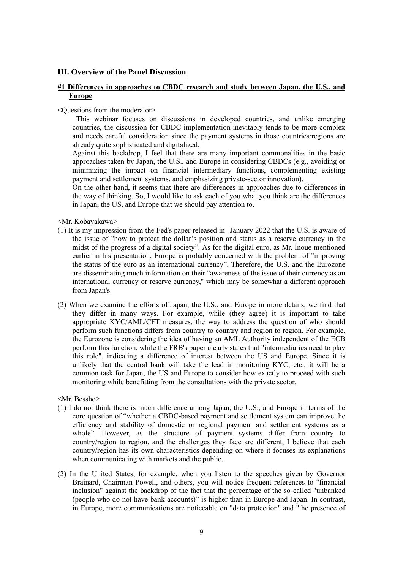## **III. Overview of the Panel Discussion**

## **#1 Differences in approaches to CBDC research and study between Japan, the U.S., and Europe**

<Questions from the moderator>

This webinar focuses on discussions in developed countries, and unlike emerging countries, the discussion for CBDC implementation inevitably tends to be more complex and needs careful consideration since the payment systems in those countries/regions are already quite sophisticated and digitalized.

Against this backdrop, I feel that there are many important commonalities in the basic approaches taken by Japan, the U.S., and Europe in considering CBDCs (e.g., avoiding or minimizing the impact on financial intermediary functions, complementing existing payment and settlement systems, and emphasizing private-sector innovation).

On the other hand, it seems that there are differences in approaches due to differences in the way of thinking. So, I would like to ask each of you what you think are the differences in Japan, the US, and Europe that we should pay attention to.

<Mr. Kobayakawa>

- (1) It is my impression from the Fed's paper released in January 2022 that the U.S. is aware of the issue of "how to protect the dollar's position and status as a reserve currency in the midst of the progress of a digital society". As for the digital euro, as Mr. Inoue mentioned earlier in his presentation, Europe is probably concerned with the problem of "improving the status of the euro as an international currency". Therefore, the U.S. and the Eurozone are disseminating much information on their "awareness of the issue of their currency as an international currency or reserve currency," which may be somewhat a different approach from Japan's.
- (2) When we examine the efforts of Japan, the U.S., and Europe in more details, we find that they differ in many ways. For example, while (they agree) it is important to take appropriate KYC/AML/CFT measures, the way to address the question of who should perform such functions differs from country to country and region to region. For example, the Eurozone is considering the idea of having an AML Authority independent of the ECB perform this function, while the FRB's paper clearly states that "intermediaries need to play this role", indicating a difference of interest between the US and Europe. Since it is unlikely that the central bank will take the lead in monitoring KYC, etc., it will be a common task for Japan, the US and Europe to consider how exactly to proceed with such monitoring while benefitting from the consultations with the private sector.

<Mr. Bessho>

- (1) I do not think there is much difference among Japan, the U.S., and Europe in terms of the core question of "whether a CBDC-based payment and settlement system can improve the efficiency and stability of domestic or regional payment and settlement systems as a whole". However, as the structure of payment systems differ from country to country/region to region, and the challenges they face are different, I believe that each country/region has its own characteristics depending on where it focuses its explanations when communicating with markets and the public.
- (2) In the United States, for example, when you listen to the speeches given by Governor Brainard, Chairman Powell, and others, you will notice frequent references to "financial inclusion" against the backdrop of the fact that the percentage of the so-called "unbanked (people who do not have bank accounts)" is higher than in Europe and Japan. In contrast, in Europe, more communications are noticeable on "data protection" and "the presence of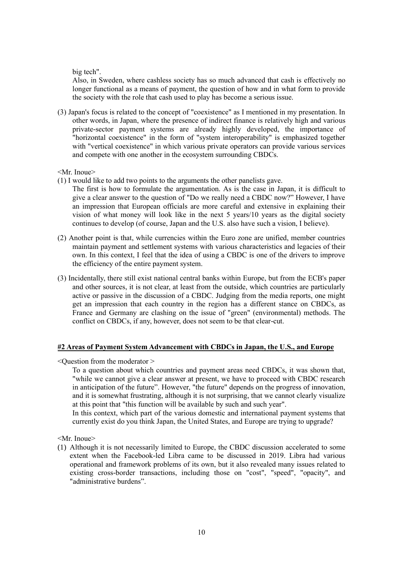big tech".

Also, in Sweden, where cashless society has so much advanced that cash is effectively no longer functional as a means of payment, the question of how and in what form to provide the society with the role that cash used to play has become a serious issue.

(3) Japan's focus is related to the concept of "coexistence" as I mentioned in my presentation. In other words, in Japan, where the presence of indirect finance is relatively high and various private-sector payment systems are already highly developed, the importance of "horizontal coexistence" in the form of "system interoperability" is emphasized together with "vertical coexistence" in which various private operators can provide various services and compete with one another in the ecosystem surrounding CBDCs.

#### <Mr. Inoue>

- (1) I would like to add two points to the arguments the other panelists gave.
	- The first is how to formulate the argumentation. As is the case in Japan, it is difficult to give a clear answer to the question of "Do we really need a CBDC now?" However, I have an impression that European officials are more careful and extensive in explaining their vision of what money will look like in the next 5 years/10 years as the digital society continues to develop (of course, Japan and the U.S. also have such a vision, I believe).
- (2) Another point is that, while currencies within the Euro zone are unified, member countries maintain payment and settlement systems with various characteristics and legacies of their own. In this context, I feel that the idea of using a CBDC is one of the drivers to improve the efficiency of the entire payment system.
- (3) Incidentally, there still exist national central banks within Europe, but from the ECB's paper and other sources, it is not clear, at least from the outside, which countries are particularly active or passive in the discussion of a CBDC. Judging from the media reports, one might get an impression that each country in the region has a different stance on CBDCs, as France and Germany are clashing on the issue of "green" (environmental) methods. The conflict on CBDCs, if any, however, does not seem to be that clear-cut.

### **#2 Areas of Payment System Advancement with CBDCs in Japan, the U.S., and Europe**

 $\leq$ Ouestion from the moderator  $>$ 

To a question about which countries and payment areas need CBDCs, it was shown that, "while we cannot give a clear answer at present, we have to proceed with CBDC research in anticipation of the future". However, "the future" depends on the progress of innovation, and it is somewhat frustrating, although it is not surprising, that we cannot clearly visualize at this point that "this function will be available by such and such year".

In this context, which part of the various domestic and international payment systems that currently exist do you think Japan, the United States, and Europe are trying to upgrade?

<Mr. Inoue>

(1) Although it is not necessarily limited to Europe, the CBDC discussion accelerated to some extent when the Facebook-led Libra came to be discussed in 2019. Libra had various operational and framework problems of its own, but it also revealed many issues related to existing cross-border transactions, including those on "cost", "speed", "opacity", and "administrative burdens".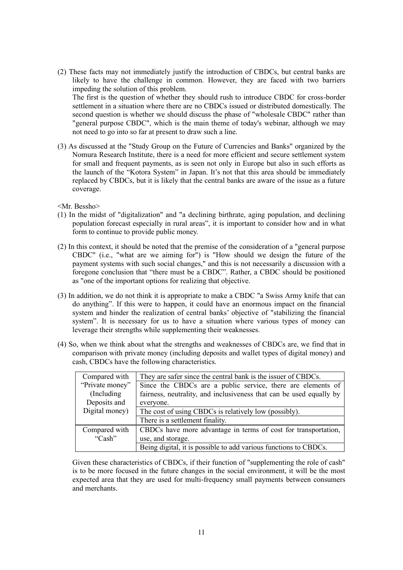(2) These facts may not immediately justify the introduction of CBDCs, but central banks are likely to have the challenge in common. However, they are faced with two barriers impeding the solution of this problem.

The first is the question of whether they should rush to introduce CBDC for cross-border settlement in a situation where there are no CBDCs issued or distributed domestically. The second question is whether we should discuss the phase of "wholesale CBDC" rather than "general purpose CBDC", which is the main theme of today's webinar, although we may not need to go into so far at present to draw such a line.

(3) As discussed at the "Study Group on the Future of Currencies and Banks" organized by the Nomura Research Institute, there is a need for more efficient and secure settlement system for small and frequent payments, as is seen not only in Europe but also in such efforts as the launch of the "Kotora System" in Japan. It's not that this area should be immediately replaced by CBDCs, but it is likely that the central banks are aware of the issue as a future coverage.

<Mr. Bessho>

- (1) In the midst of "digitalization" and "a declining birthrate, aging population, and declining population forecast especially in rural areas", it is important to consider how and in what form to continue to provide public money.
- (2) In this context, it should be noted that the premise of the consideration of a "general purpose CBDC" (i.e., "what are we aiming for") is "How should we design the future of the payment systems with such social changes," and this is not necessarily a discussion with a foregone conclusion that "there must be a CBDC". Rather, a CBDC should be positioned as "one of the important options for realizing that objective.
- (3) In addition, we do not think it is appropriate to make a CBDC "a Swiss Army knife that can do anything". If this were to happen, it could have an enormous impact on the financial system and hinder the realization of central banks' objective of "stabilizing the financial system". It is necessary for us to have a situation where various types of money can leverage their strengths while supplementing their weaknesses.
- (4) So, when we think about what the strengths and weaknesses of CBDCs are, we find that in comparison with private money (including deposits and wallet types of digital money) and cash, CBDCs have the following characteristics.

| Compared with   | They are safer since the central bank is the issuer of CBDCs.       |
|-----------------|---------------------------------------------------------------------|
| "Private money" | Since the CBDCs are a public service, there are elements of         |
| (Including)     | fairness, neutrality, and inclusiveness that can be used equally by |
| Deposits and    | everyone.                                                           |
| Digital money)  | The cost of using CBDCs is relatively low (possibly).               |
|                 | There is a settlement finality.                                     |
| Compared with   | CBDCs have more advantage in terms of cost for transportation,      |
| "Cash"          | use, and storage.                                                   |
|                 | Being digital, it is possible to add various functions to CBDCs.    |

Given these characteristics of CBDCs, if their function of "supplementing the role of cash" is to be more focused in the future changes in the social environment, it will be the most expected area that they are used for multi-frequency small payments between consumers and merchants.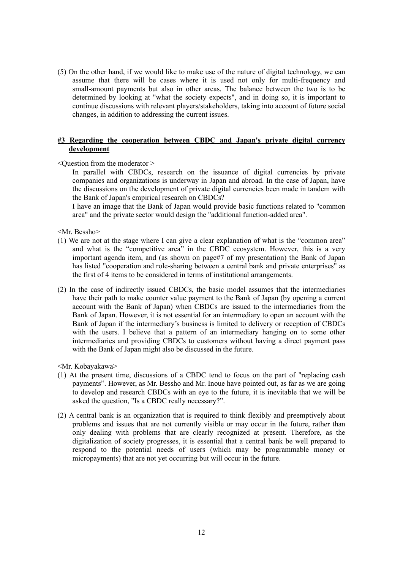(5) On the other hand, if we would like to make use of the nature of digital technology, we can assume that there will be cases where it is used not only for multi-frequency and small-amount payments but also in other areas. The balance between the two is to be determined by looking at "what the society expects", and in doing so, it is important to continue discussions with relevant players/stakeholders, taking into account of future social changes, in addition to addressing the current issues.

## **#3 Regarding the cooperation between CBDC and Japan's private digital currency development**

### <Question from the moderator >

In parallel with CBDCs, research on the issuance of digital currencies by private companies and organizations is underway in Japan and abroad. In the case of Japan, have the discussions on the development of private digital currencies been made in tandem with the Bank of Japan's empirical research on CBDCs?

I have an image that the Bank of Japan would provide basic functions related to "common area" and the private sector would design the "additional function-added area".

<Mr. Bessho>

- (1) We are not at the stage where I can give a clear explanation of what is the "common area" and what is the "competitive area" in the CBDC ecosystem. However, this is a very important agenda item, and (as shown on page#7 of my presentation) the Bank of Japan has listed "cooperation and role-sharing between a central bank and private enterprises" as the first of 4 items to be considered in terms of institutional arrangements.
- (2) In the case of indirectly issued CBDCs, the basic model assumes that the intermediaries have their path to make counter value payment to the Bank of Japan (by opening a current account with the Bank of Japan) when CBDCs are issued to the intermediaries from the Bank of Japan. However, it is not essential for an intermediary to open an account with the Bank of Japan if the intermediary's business is limited to delivery or reception of CBDCs with the users. I believe that a pattern of an intermediary hanging on to some other intermediaries and providing CBDCs to customers without having a direct payment pass with the Bank of Japan might also be discussed in the future.

<Mr. Kobayakawa>

- (1) At the present time, discussions of a CBDC tend to focus on the part of "replacing cash payments". However, as Mr. Bessho and Mr. Inoue have pointed out, as far as we are going to develop and research CBDCs with an eye to the future, it is inevitable that we will be asked the question, "Is a CBDC really necessary?".
- (2) A central bank is an organization that is required to think flexibly and preemptively about problems and issues that are not currently visible or may occur in the future, rather than only dealing with problems that are clearly recognized at present. Therefore, as the digitalization of society progresses, it is essential that a central bank be well prepared to respond to the potential needs of users (which may be programmable money or micropayments) that are not yet occurring but will occur in the future.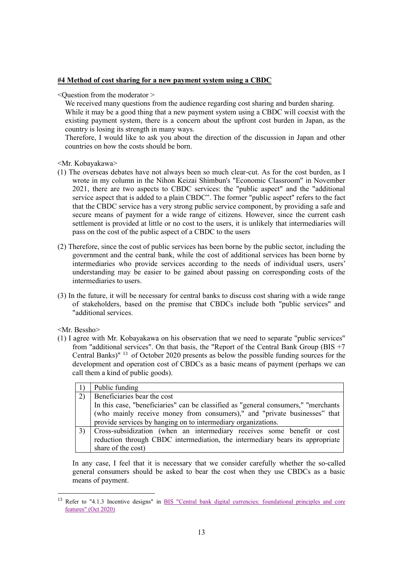## **#4 Method of cost sharing for a new payment system using a CBDC**

 $\leq$ Ouestion from the moderator  $\geq$ 

We received many questions from the audience regarding cost sharing and burden sharing. While it may be a good thing that a new payment system using a CBDC will coexist with the existing payment system, there is a concern about the upfront cost burden in Japan, as the country is losing its strength in many ways.

Therefore, I would like to ask you about the direction of the discussion in Japan and other countries on how the costs should be born.

<Mr. Kobayakawa>

- (1) The overseas debates have not always been so much clear-cut. As for the cost burden, as I wrote in my column in the Nihon Keizai Shimbun's "Economic Classroom" in November 2021, there are two aspects to CBDC services: the "public aspect" and the "additional service aspect that is added to a plain CBDC". The former "public aspect" refers to the fact that the CBDC service has a very strong public service component, by providing a safe and secure means of payment for a wide range of citizens. However, since the current cash settlement is provided at little or no cost to the users, it is unlikely that intermediaries will pass on the cost of the public aspect of a CBDC to the users
- (2) Therefore, since the cost of public services has been borne by the public sector, including the government and the central bank, while the cost of additional services has been borne by intermediaries who provide services according to the needs of individual users, users' understanding may be easier to be gained about passing on corresponding costs of the intermediaries to users.
- (3) In the future, it will be necessary for central banks to discuss cost sharing with a wide range of stakeholders, based on the premise that CBDCs include both "public services" and "additional services.

<Mr. Bessho>

(1) I agree with Mr. Kobayakawa on his observation that we need to separate "public services" from "additional services". On that basis, the "Report of the Central Bank Group (BIS +7 Central Banks)" <sup>13</sup> of October 2020 presents as below the possible funding sources for the development and operation cost of CBDCs as a basic means of payment (perhaps we can call them a kind of public goods).

|             | Public funding                                                                      |
|-------------|-------------------------------------------------------------------------------------|
| 2)          | Beneficiaries bear the cost                                                         |
|             | In this case, "beneficiaries" can be classified as "general consumers," "merchants" |
|             | (who mainly receive money from consumers)," and "private businesses" that           |
|             | provide services by hanging on to intermediary organizations.                       |
| $3^{\circ}$ | Cross-subsidization (when an intermediary receives some benefit or cost             |
|             | reduction through CBDC intermediation, the intermediary bears its appropriate       |
|             | share of the cost)                                                                  |

In any case, I feel that it is necessary that we consider carefully whether the so-called general consumers should be asked to bear the cost when they use CBDCs as a basic means of payment.

Refer to "4.1.3 Incentive designs" in BIS "Central bank digital currencies: foundational principles and core [features" \(Oct 2020\)](https://www.bis.org/publ/othp33.pdf)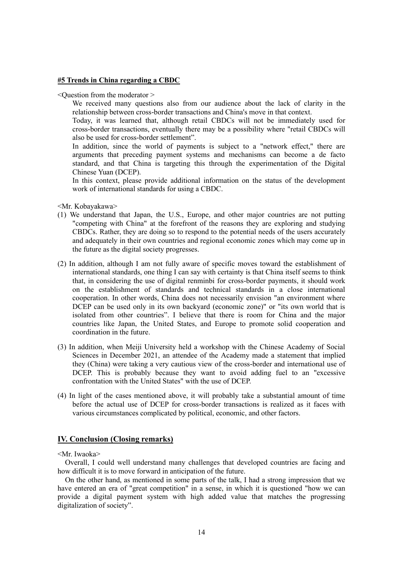#### **#5 Trends in China regarding a CBDC**

 $\leq$ Ouestion from the moderator  $\geq$ 

We received many questions also from our audience about the lack of clarity in the relationship between cross-border transactions and China's move in that context.

Today, it was learned that, although retail CBDCs will not be immediately used for cross-border transactions, eventually there may be a possibility where "retail CBDCs will also be used for cross-border settlement".

In addition, since the world of payments is subject to a "network effect," there are arguments that preceding payment systems and mechanisms can become a de facto standard, and that China is targeting this through the experimentation of the Digital Chinese Yuan (DCEP).

In this context, please provide additional information on the status of the development work of international standards for using a CBDC.

<Mr. Kobayakawa>

- (1) We understand that Japan, the U.S., Europe, and other major countries are not putting "competing with China" at the forefront of the reasons they are exploring and studying CBDCs. Rather, they are doing so to respond to the potential needs of the users accurately and adequately in their own countries and regional economic zones which may come up in the future as the digital society progresses.
- (2) In addition, although I am not fully aware of specific moves toward the establishment of international standards, one thing I can say with certainty is that China itself seems to think that, in considering the use of digital renminbi for cross-border payments, it should work on the establishment of standards and technical standards in a close international cooperation. In other words, China does not necessarily envision "an environment where DCEP can be used only in its own backyard (economic zone)" or "its own world that is isolated from other countries". I believe that there is room for China and the major countries like Japan, the United States, and Europe to promote solid cooperation and coordination in the future.
- (3) In addition, when Meiji University held a workshop with the Chinese Academy of Social Sciences in December 2021, an attendee of the Academy made a statement that implied they (China) were taking a very cautious view of the cross-border and international use of DCEP. This is probably because they want to avoid adding fuel to an "excessive confrontation with the United States" with the use of DCEP.
- (4) In light of the cases mentioned above, it will probably take a substantial amount of time before the actual use of DCEP for cross-border transactions is realized as it faces with various circumstances complicated by political, economic, and other factors.

## **IV. Conclusion (Closing remarks)**

#### <Mr. Iwaoka>

Overall, I could well understand many challenges that developed countries are facing and how difficult it is to move forward in anticipation of the future.

On the other hand, as mentioned in some parts of the talk, I had a strong impression that we have entered an era of "great competition" in a sense, in which it is questioned "how we can provide a digital payment system with high added value that matches the progressing digitalization of society".